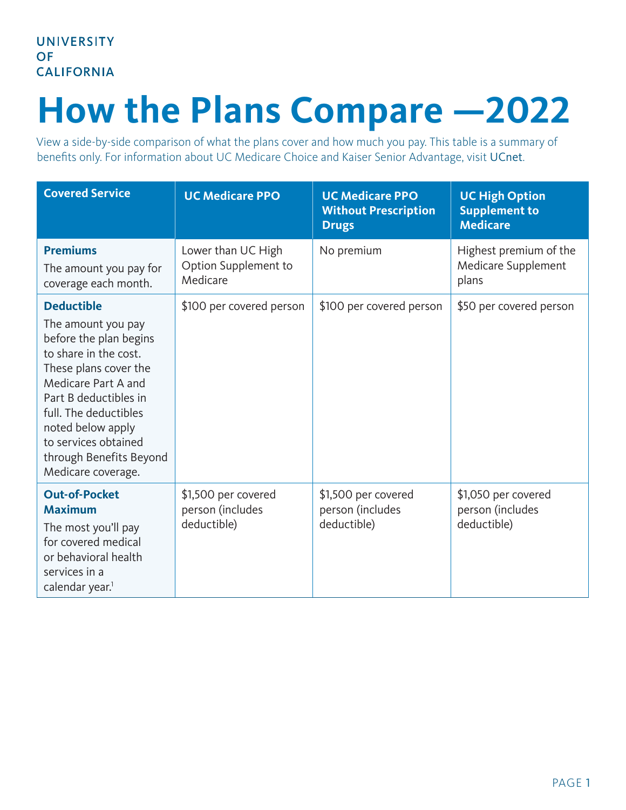## **How the Plans Compare —2022**

View a side-by-side comparison of what the plans cover and how much you pay. This table is a summary of benefits only. For information about UC Medicare Choice and Kaiser Senior Advantage, visit [UCnet](https://ucnet.universityofcalifornia.edu/).

| <b>Covered Service</b>                                                                                                                                                                                                                                                                     | <b>UC Medicare PPO</b>                                 | <b>UC Medicare PPO</b><br><b>Without Prescription</b><br><b>Drugs</b> | <b>UC High Option</b><br><b>Supplement to</b><br><b>Medicare</b> |
|--------------------------------------------------------------------------------------------------------------------------------------------------------------------------------------------------------------------------------------------------------------------------------------------|--------------------------------------------------------|-----------------------------------------------------------------------|------------------------------------------------------------------|
| <b>Premiums</b><br>The amount you pay for<br>coverage each month.                                                                                                                                                                                                                          | Lower than UC High<br>Option Supplement to<br>Medicare | No premium                                                            | Highest premium of the<br>Medicare Supplement<br>plans           |
| <b>Deductible</b><br>The amount you pay<br>before the plan begins<br>to share in the cost.<br>These plans cover the<br>Medicare Part A and<br>Part B deductibles in<br>full. The deductibles<br>noted below apply<br>to services obtained<br>through Benefits Beyond<br>Medicare coverage. | \$100 per covered person                               | \$100 per covered person                                              | \$50 per covered person                                          |
| <b>Out-of-Pocket</b><br><b>Maximum</b><br>The most you'll pay<br>for covered medical<br>or behavioral health<br>services in a<br>calendar year. <sup>1</sup>                                                                                                                               | \$1,500 per covered<br>person (includes<br>deductible) | \$1,500 per covered<br>person (includes<br>deductible)                | \$1,050 per covered<br>person (includes<br>deductible)           |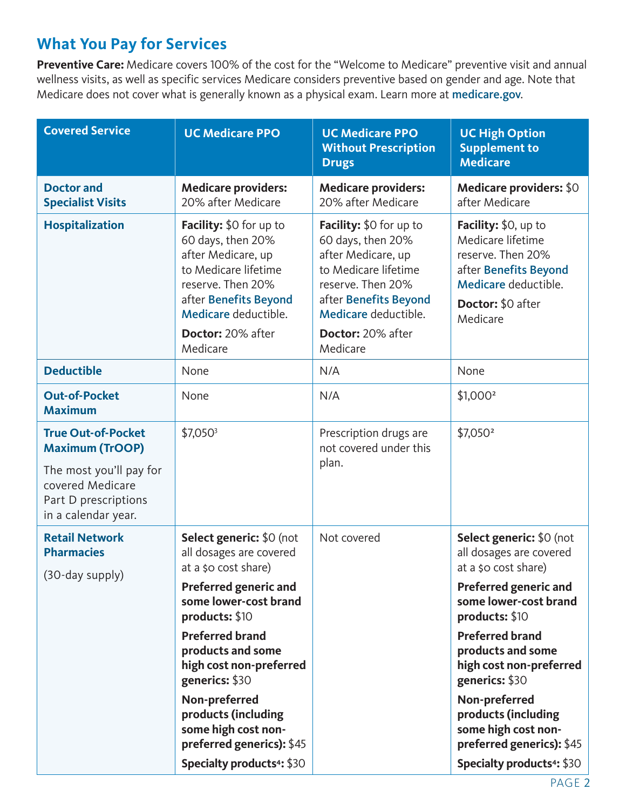## **What You Pay for Services**

**Preventive Care:** Medicare covers 100% of the cost for the "Welcome to Medicare" preventive visit and annual wellness visits, as well as specific services Medicare considers preventive based on gender and age. Note that Medicare does not cover what is generally known as a physical exam. Learn more at [medicare.gov](http://medicare.gov).

| <b>Covered Service</b>                                                                                                                            | <b>UC Medicare PPO</b>                                                                                                                                                                                                                                                                                                                                                             | <b>UC Medicare PPO</b><br><b>Without Prescription</b><br><b>Drugs</b>                                                                                                                             | <b>UC High Option</b><br><b>Supplement to</b><br><b>Medicare</b>                                                                                                                                                                                                                                                                                                                              |
|---------------------------------------------------------------------------------------------------------------------------------------------------|------------------------------------------------------------------------------------------------------------------------------------------------------------------------------------------------------------------------------------------------------------------------------------------------------------------------------------------------------------------------------------|---------------------------------------------------------------------------------------------------------------------------------------------------------------------------------------------------|-----------------------------------------------------------------------------------------------------------------------------------------------------------------------------------------------------------------------------------------------------------------------------------------------------------------------------------------------------------------------------------------------|
| <b>Doctor and</b><br><b>Specialist Visits</b>                                                                                                     | <b>Medicare providers:</b><br>20% after Medicare                                                                                                                                                                                                                                                                                                                                   | <b>Medicare providers:</b><br>20% after Medicare                                                                                                                                                  | <b>Medicare providers: \$0</b><br>after Medicare                                                                                                                                                                                                                                                                                                                                              |
| <b>Hospitalization</b>                                                                                                                            | Facility: \$0 for up to<br>60 days, then 20%<br>after Medicare, up<br>to Medicare lifetime<br>reserve. Then 20%<br>after Benefits Beyond<br>Medicare deductible.<br>Doctor: 20% after<br>Medicare                                                                                                                                                                                  | Facility: \$0 for up to<br>60 days, then 20%<br>after Medicare, up<br>to Medicare lifetime<br>reserve. Then 20%<br>after Benefits Beyond<br>Medicare deductible.<br>Doctor: 20% after<br>Medicare | Facility: \$0, up to<br>Medicare lifetime<br>reserve. Then 20%<br>after Benefits Beyond<br>Medicare deductible.<br>Doctor: \$0 after<br>Medicare                                                                                                                                                                                                                                              |
| <b>Deductible</b>                                                                                                                                 | None                                                                                                                                                                                                                                                                                                                                                                               | N/A                                                                                                                                                                                               | None                                                                                                                                                                                                                                                                                                                                                                                          |
| <b>Out-of-Pocket</b><br><b>Maximum</b>                                                                                                            | None                                                                                                                                                                                                                                                                                                                                                                               | N/A                                                                                                                                                                                               | $$1,000^2$                                                                                                                                                                                                                                                                                                                                                                                    |
| <b>True Out-of-Pocket</b><br><b>Maximum (TrOOP)</b><br>The most you'll pay for<br>covered Medicare<br>Part D prescriptions<br>in a calendar year. | $$7,050^3$                                                                                                                                                                                                                                                                                                                                                                         | Prescription drugs are<br>not covered under this<br>plan.                                                                                                                                         | \$7,050 <sup>2</sup>                                                                                                                                                                                                                                                                                                                                                                          |
| <b>Retail Network</b><br><b>Pharmacies</b><br>(30-day supply)                                                                                     | Select generic: \$0 (not<br>all dosages are covered<br>at a \$0 cost share)<br><b>Preferred generic and</b><br>some lower-cost brand<br>products: \$10<br><b>Preferred brand</b><br>products and some<br>high cost non-preferred<br>generics: \$30<br>Non-preferred<br>products (including<br>some high cost non-<br>preferred generics): \$45<br><b>Specialty products4: \$30</b> | Not covered                                                                                                                                                                                       | Select generic: \$0 (not<br>all dosages are covered<br>at a \$0 cost share)<br><b>Preferred generic and</b><br>some lower-cost brand<br>products: \$10<br><b>Preferred brand</b><br>products and some<br>high cost non-preferred<br>generics: \$30<br>Non-preferred<br>products (including<br>some high cost non-<br>preferred generics): \$45<br><b>Specialty products<sup>4</sup>: \$30</b> |